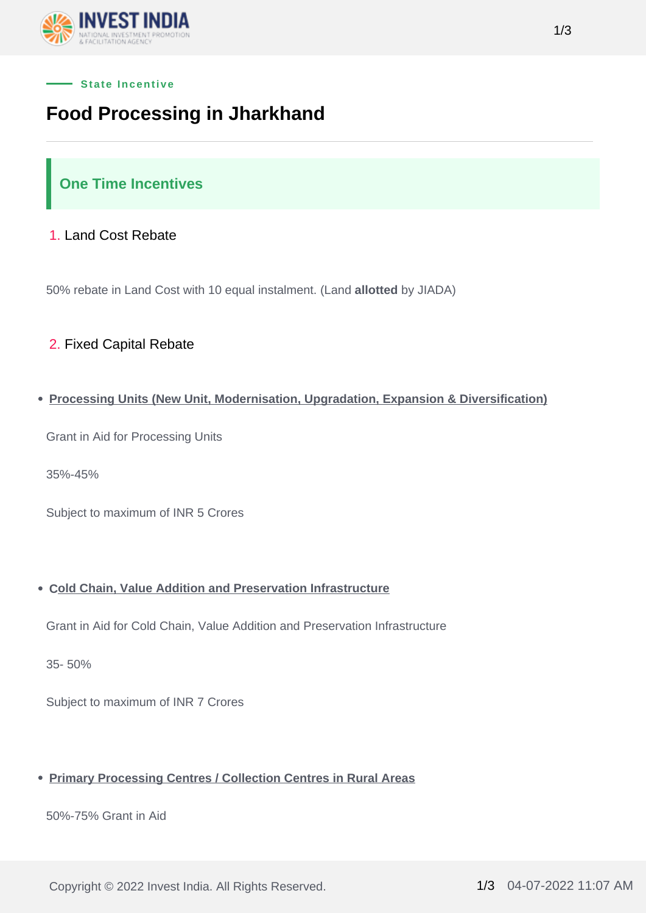



# **Food Processing in Jharkhand**

## **One Time Incentives**

### 1. Land Cost Rebate

50% rebate in Land Cost with 10 equal instalment. (Land **allotted** by JIADA)

### 2. Fixed Capital Rebate

#### **Processing Units (New Unit, Modernisation, Upgradation, Expansion & Diversification)**

Grant in Aid for Processing Units

35%-45%

Subject to maximum of INR 5 Crores

#### **Cold Chain, Value Addition and Preservation Infrastructure**

Grant in Aid for Cold Chain, Value Addition and Preservation Infrastructure

35- 50%

Subject to maximum of INR 7 Crores

#### **Primary Processing Centres / Collection Centres in Rural Areas**

50%-75% Grant in Aid

Copyright © 2022 Invest India. All Rights Reserved. 1/3 04-07-2022 11:07 AM

1/3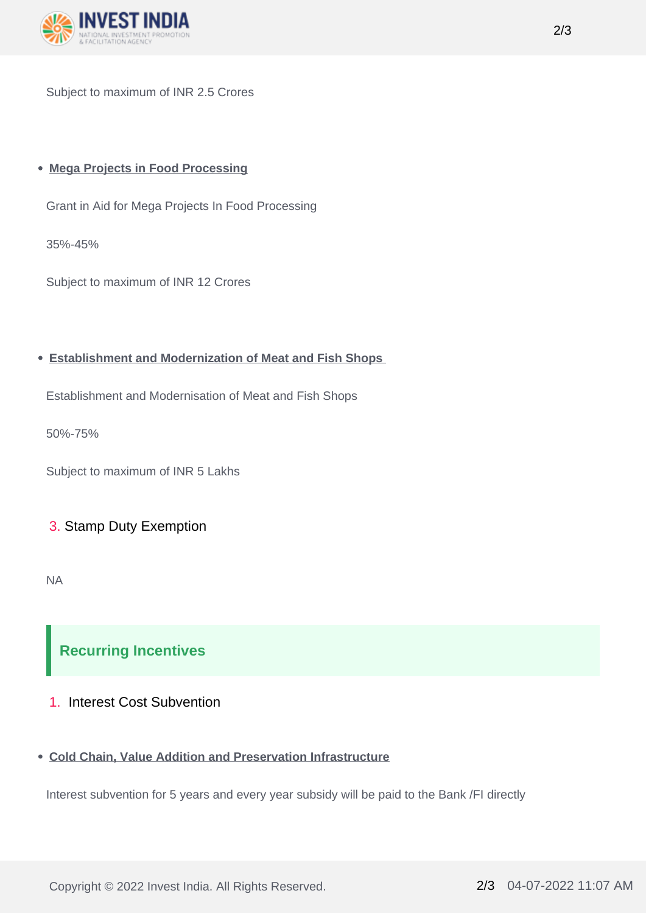

Subject to maximum of INR 2.5 Crores

#### **Mega Projects in Food Processing**

Grant in Aid for Mega Projects In Food Processing

35%-45%

Subject to maximum of INR 12 Crores

#### **Establishment and Modernization of Meat and Fish Shops**

Establishment and Modernisation of Meat and Fish Shops

50%-75%

Subject to maximum of INR 5 Lakhs

#### 3. Stamp Duty Exemption

NA

# **Recurring Incentives**

#### 1. Interest Cost Subvention

#### **Cold Chain, Value Addition and Preservation Infrastructure**

Interest subvention for 5 years and every year subsidy will be paid to the Bank /FI directly

Copyright © 2022 Invest India. All Rights Reserved. 2/3 04-07-2022 11:07 AM